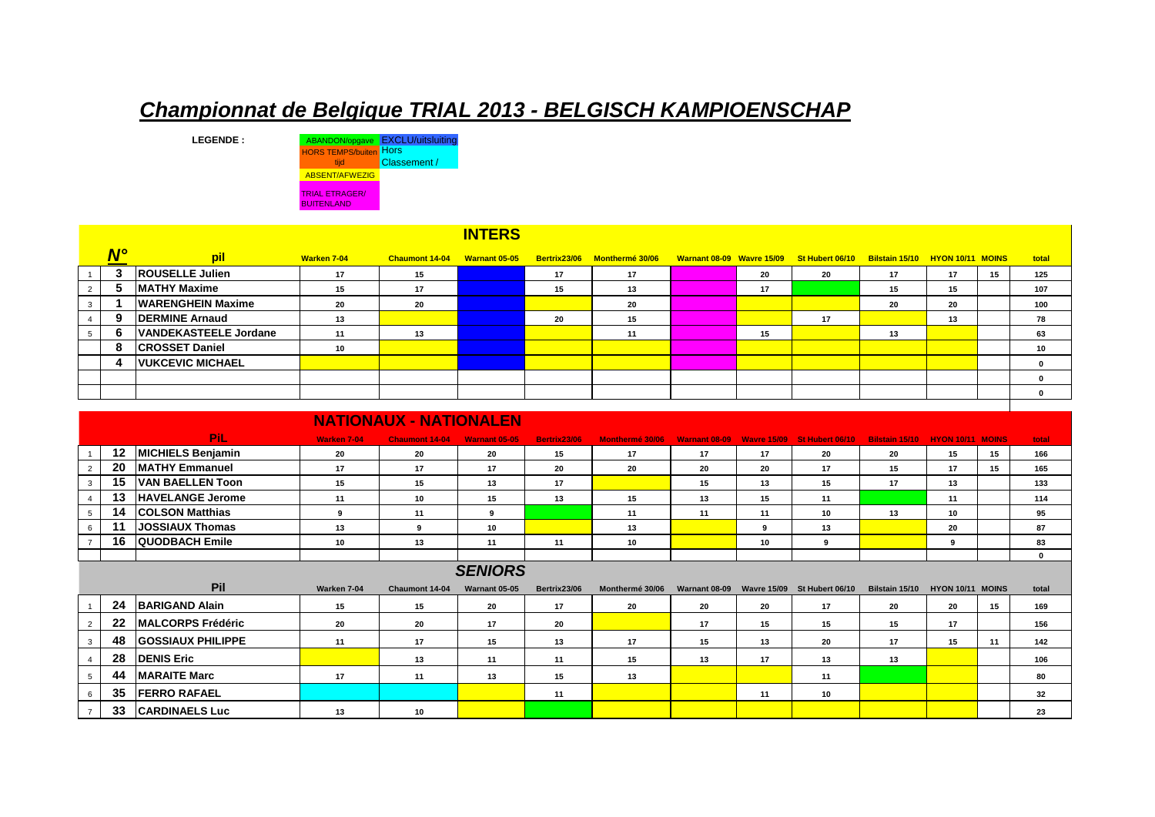## *Championnat de Belgique TRIAL 2013 - BELGISCH KAMPIOENSCHAP*

LEGENDE : ABANDON/opgave EXCLU/uitsluiting HORS TEMPS/buiten Hors tijd Classement / ABSENT/AFWEZIG TRIAL ETRAGER/ BUITENLAND

|                |                      |                          |             |                       | <b>INTERS</b>        |    |                              |    |                                                                           |    |    |    |       |
|----------------|----------------------|--------------------------|-------------|-----------------------|----------------------|----|------------------------------|----|---------------------------------------------------------------------------|----|----|----|-------|
|                | $\mathbf{N}^{\circ}$ | pil                      | Warken 7-04 | <b>Chaumont 14-04</b> | <b>Warnant 05-05</b> |    | Bertrix23/06 Monthermé 30/06 |    | Warnant 08-09 Wavre 15/09 St Hubert 06/10 Bilstain 15/10 HYON 10/11 MOINS |    |    |    | total |
|                |                      | <b>ROUSELLE Julien</b>   | 17          | 15                    |                      | 17 | 17                           | 20 | 20                                                                        | 17 | 17 | 15 | 125   |
| 2              |                      | <b>IMATHY Maxime</b>     | 15          | 17                    |                      | 15 | 13                           | 17 |                                                                           | 15 | 15 |    | 107   |
|                |                      | <b>WARENGHEIN Maxime</b> | 20          | 20                    |                      |    | 20                           |    |                                                                           | 20 | 20 |    | 100   |
|                |                      | <b>DERMINE Arnaud</b>    | 13          |                       |                      | 20 | 15                           |    | 17                                                                        |    | 13 |    | 78    |
| 5 <sup>5</sup> | 'n                   | VANDEKASTEELE Jordane    | 11          | 13                    |                      |    | 11                           | 15 |                                                                           | 13 |    |    | 63    |
|                | -8                   | <b>CROSSET Daniel</b>    | 10          |                       |                      |    |                              |    |                                                                           |    |    |    | 10    |
|                | А                    | <b>VUKCEVIC MICHAEL</b>  |             |                       |                      |    |                              |    |                                                                           |    |    |    |       |
|                |                      |                          |             |                       |                      |    |                              |    |                                                                           |    |    |    |       |
|                |                      |                          |             |                       |                      |    |                              |    |                                                                           |    |    |    |       |
|                |                      |                          |             |                       |                      |    |                              |    |                                                                           |    |    |    |       |

|                | <b>NATIONAUX - NATIONALEN</b> |                           |                    |                       |                      |              |                 |                      |                    |                                    |                       |                         |    |             |
|----------------|-------------------------------|---------------------------|--------------------|-----------------------|----------------------|--------------|-----------------|----------------------|--------------------|------------------------------------|-----------------------|-------------------------|----|-------------|
|                |                               | <b>PiL</b>                | <b>Warken 7-04</b> | <b>Chaumont 14-04</b> | <b>Warnant 05-05</b> | Bertrix23/06 | Monthermé 30/06 | <b>Warnant 08-09</b> |                    | <b>Wavre 15/09 St Hubert 06/10</b> | <b>Bilstain 15/10</b> | <b>HYON 10/11 MOINS</b> |    | total       |
|                | $12 \,$                       | <b>MICHIELS Benjamin</b>  | 20                 | 20                    | 20                   | 15           | 17              | 17                   | 17                 | 20                                 | 20                    | 15                      | 15 | 166         |
|                | 20                            | <b>MATHY Emmanuel</b>     | 17                 | 17                    | 17                   | 20           | 20              | 20                   | 20                 | 17                                 | 15                    | 17                      | 15 | 165         |
| 3              | 15                            | <b>VAN BAELLEN Toon</b>   | 15                 | 15                    | 13                   | 17           |                 | 15                   | 13                 | 15                                 | 17                    | 13                      |    | 133         |
|                | 13                            | <b>HAVELANGE Jerome</b>   | 11                 | 10                    | 15                   | 13           | 15              | 13                   | 15                 | 11                                 |                       | 11                      |    | 114         |
|                | 14                            | <b>COLSON Matthias</b>    | 9                  | 11                    | 9                    |              | 11              | 11                   | 11                 | 10                                 | 13                    | 10                      |    | 95          |
| 6              | 11                            | <b>JOSSIAUX Thomas</b>    | 13                 | 9                     | 10                   |              | 13              |                      | 9                  | 13                                 |                       | 20                      |    | 87          |
|                | 16                            | QUODBACH Emile            | 10                 | 13                    | 11                   | 11           | 10              |                      | 10                 | 9                                  |                       | 9                       |    | 83          |
|                |                               |                           |                    |                       |                      |              |                 |                      |                    |                                    |                       |                         |    | $\mathbf 0$ |
| <b>SENIORS</b> |                               |                           |                    |                       |                      |              |                 |                      |                    |                                    |                       |                         |    |             |
|                |                               | Pil                       | Warken 7-04        | Chaumont 14-04        | Warnant 05-05        | Bertrix23/06 | Monthermé 30/06 | Warnant 08-09        | <b>Wavre 15/09</b> | St Hubert 06/10                    | Bilstain 15/10        | HYON 10/11 MOINS        |    | total       |
|                | 24                            | <b>BARIGAND Alain</b>     | 15                 | 15                    | 20                   | 17           | 20              | 20                   | 20                 | 17                                 | 20                    | 20                      | 15 | 169         |
|                | 22                            | <b>IMALCORPS Frédéric</b> | 20                 | 20                    | 17                   | 20           |                 | 17                   | 15                 | 15                                 | 15                    | 17                      |    | 156         |
|                | 48                            | <b>GOSSIAUX PHILIPPE</b>  | 11                 | 17                    | 15                   | 13           | 17              | 15                   | 13                 | 20                                 | 17                    | 15                      | 11 | 142         |
|                | 28                            | <b>DENIS Eric</b>         |                    | 13                    | 11                   | 11           | 15              | 13                   | 17                 | 13                                 | 13                    |                         |    | 106         |
| -5             | 44                            | <b>MARAITE Marc</b>       | 17                 | 11                    | 13                   | 15           | 13              |                      |                    | 11                                 |                       |                         |    | 80          |
|                | 35                            | <b>FERRO RAFAEL</b>       |                    |                       |                      | 11           |                 |                      | 11                 | 10                                 |                       |                         |    | 32          |
|                | 33                            | <b>CARDINAELS Luc</b>     | 13                 | 10                    |                      |              |                 |                      |                    |                                    |                       |                         |    | 23          |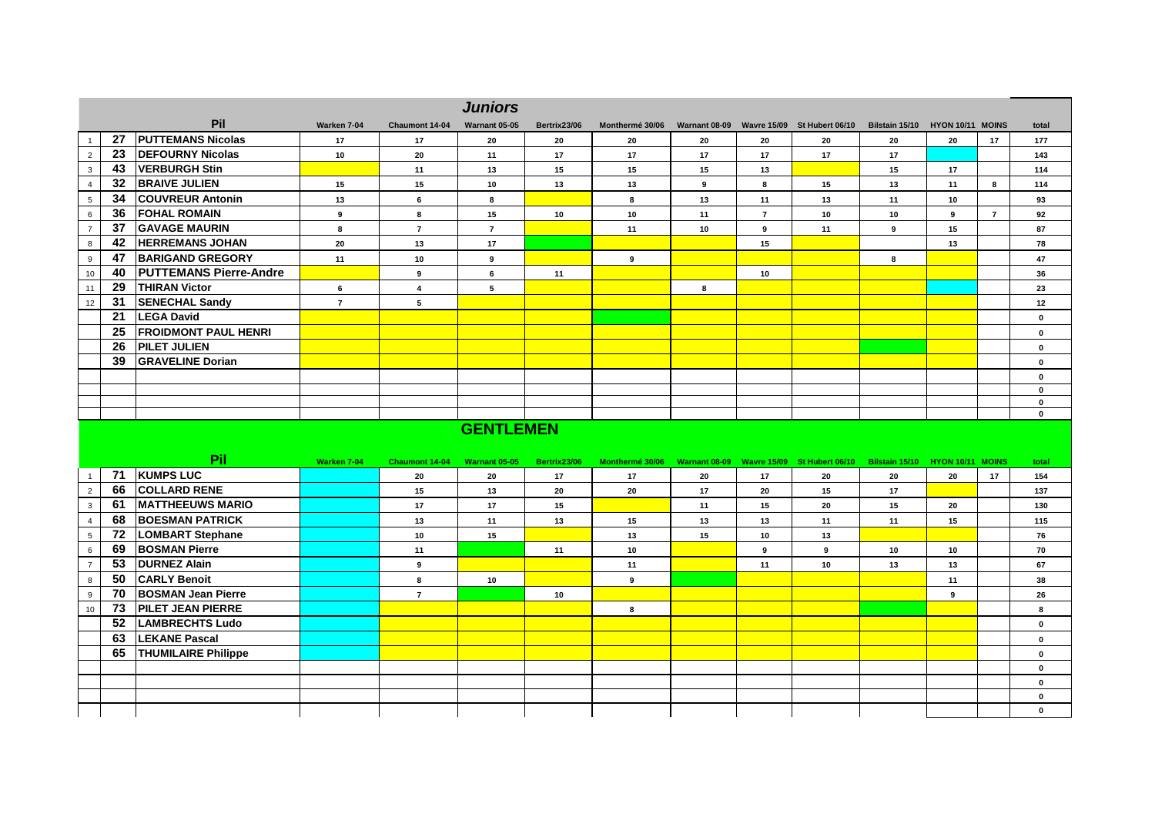|                |                 |                             |                |                | <b>Juniors</b> |              |                 |               |                |                             |                                 |    |                |             |
|----------------|-----------------|-----------------------------|----------------|----------------|----------------|--------------|-----------------|---------------|----------------|-----------------------------|---------------------------------|----|----------------|-------------|
|                |                 | Pil                         | Warken 7-04    | Chaumont 14-04 | Warnant 05-05  | Bertrix23/06 | Monthermé 30/06 | Warnant 08-09 |                | Wavre 15/09 St Hubert 06/10 | Bilstain 15/10 HYON 10/11 MOINS |    |                | total       |
|                | 27              | <b>PUTTEMANS Nicolas</b>    | 17             | 17             | 20             | 20           | 20              | 20            | 20             | 20                          | 20                              | 20 | 17             | 177         |
| $\overline{2}$ | 23              | <b>DEFOURNY Nicolas</b>     | 10             | 20             | 11             | 17           | 17              | 17            | 17             | 17                          | 17                              |    |                | 143         |
| $\mathbf{3}$   | 43              | <b>VERBURGH Stin</b>        |                | 11             | 13             | 15           | 15              | 15            | 13             |                             | 15                              | 17 |                | 114         |
| $\overline{4}$ | $32\phantom{a}$ | <b>BRAIVE JULIEN</b>        | 15             | 15             | 10             | 13           | 13              | 9             | 8              | 15                          | 13                              | 11 | 8              | 114         |
| 5              | 34              | <b>COUVREUR Antonin</b>     | 13             | 6              | 8              |              | 8               | 13            | 11             | 13                          | 11                              | 10 |                | 93          |
| 6              | 36              | <b>FOHAL ROMAIN</b>         | 9              | 8              | 15             | 10           | 10              | 11            | $\overline{ }$ | 10                          | 10                              | 9  | $\overline{7}$ | 92          |
| $\overline{7}$ | 37              | <b>GAVAGE MAURIN</b>        | 8              | $\overline{7}$ | $\overline{7}$ |              | 11              | 10            | 9              | 11                          | 9                               | 15 |                | 87          |
| 8              | 42              | <b>HERREMANS JOHAN</b>      | 20             | 13             | 17             |              |                 |               | 15             |                             |                                 | 13 |                | 78          |
| 9              | 47              | <b>BARIGAND GREGORY</b>     | 11             | 10             | 9              |              | 9               |               |                |                             | 8                               |    |                | 47          |
| 10             |                 | 40 PUTTEMANS Pierre-Andre   |                | 9              | 6              | 11           |                 |               | 10             |                             |                                 |    |                | 36          |
| 11             | 29              | <b>THIRAN Victor</b>        | 6              | 4              | 5              |              |                 | 8             |                |                             |                                 |    |                | 23          |
| 12             | 31              | <b>SENECHAL Sandy</b>       | $\overline{7}$ | 5              |                |              |                 |               |                |                             |                                 |    |                | 12          |
|                | 21              | <b>LEGA David</b>           |                |                |                |              |                 |               |                |                             |                                 |    |                | $\mathbf 0$ |
|                | 25              | <b>FROIDMONT PAUL HENRI</b> |                |                |                |              |                 |               |                |                             |                                 |    |                | $\mathbf 0$ |
|                | 26              | <b>PILET JULIEN</b>         |                |                |                |              |                 |               |                |                             |                                 |    |                | $\mathbf 0$ |
|                | 39              | <b>GRAVELINE Dorian</b>     |                |                |                |              |                 |               |                |                             |                                 |    |                | $\mathbf 0$ |
|                |                 |                             |                |                |                |              |                 |               |                |                             |                                 |    |                | $\mathbf 0$ |
|                |                 |                             |                |                |                |              |                 |               |                |                             |                                 |    |                | 0           |
|                |                 |                             |                |                |                |              |                 |               |                |                             |                                 |    |                | $\mathbf 0$ |
|                |                 |                             |                |                |                |              |                 |               |                |                             |                                 |    |                | $\bf{0}$    |

## **GENTLEMEN**

|    |    | Pil                        | Warken 7-04 | <b>Chaumont 14-04</b>    | Warnant 05-05 | Bertrix23/06 | Monthermé 30/06 |    |    | Warnant 08-09 Wavre 15/09 St Hubert 06/10 | Bilstain 15/10 | HYON 10/11 MOINS |    | total       |
|----|----|----------------------------|-------------|--------------------------|---------------|--------------|-----------------|----|----|-------------------------------------------|----------------|------------------|----|-------------|
|    | 71 | <b>KUMPS LUC</b>           |             | 20                       | 20            | 17           | 17              | 20 | 17 | 20                                        | 20             | 20               | 17 | 154         |
|    | 66 | <b>COLLARD RENE</b>        |             | 15                       | 13            | 20           | 20              | 17 | 20 | 15                                        | 17             |                  |    | 137         |
| 3  | 61 | <b>MATTHEEUWS MARIO</b>    |             | 17                       | 17            | 15           |                 | 11 | 15 | 20                                        | 15             | 20               |    | 130         |
|    | 68 | <b>BOESMAN PATRICK</b>     |             | 13                       | 11            | 13           | 15              | 13 | 13 | 11                                        | 11             | 15               |    | 115         |
|    | 72 | <b>LOMBART Stephane</b>    |             | 10 <sup>1</sup>          | 15            |              | 13              | 15 | 10 | 13                                        |                |                  |    | 76          |
|    | 69 | <b>BOSMAN Pierre</b>       |             | 11                       |               | 11           | 10              |    | -9 | 9                                         | 10             | 10               |    | 70          |
|    | 53 | <b>DURNEZ Alain</b>        |             | 9                        |               |              | 11              |    | 11 | 10                                        | 13             | 13               |    | 67          |
|    | 50 | <b>CARLY Benoit</b>        |             | -8                       | 10            |              | 9               |    |    |                                           |                | 11               |    | 38          |
|    | 70 | <b>BOSMAN Jean Pierre</b>  |             | $\overline{\phantom{a}}$ |               | 10           |                 |    |    |                                           |                | 9                |    | 26          |
| 10 | 73 | <b>PILET JEAN PIERRE</b>   |             |                          |               |              | 8               |    |    |                                           |                |                  |    | 8           |
|    | 52 | <b>LAMBRECHTS Ludo</b>     |             |                          |               |              |                 |    |    |                                           |                |                  |    | $\mathbf 0$ |
|    | 63 | <b>LEKANE Pascal</b>       |             |                          |               |              |                 |    |    |                                           |                |                  |    | $\mathbf 0$ |
|    | 65 | <b>THUMILAIRE Philippe</b> |             |                          |               |              |                 |    |    |                                           |                |                  |    | $\mathbf 0$ |
|    |    |                            |             |                          |               |              |                 |    |    |                                           |                |                  |    | $\mathbf 0$ |
|    |    |                            |             |                          |               |              |                 |    |    |                                           |                |                  |    | $\mathbf 0$ |
|    |    |                            |             |                          |               |              |                 |    |    |                                           |                |                  |    | $\mathbf 0$ |
|    |    |                            |             |                          |               |              |                 |    |    |                                           |                |                  |    | $\mathbf 0$ |